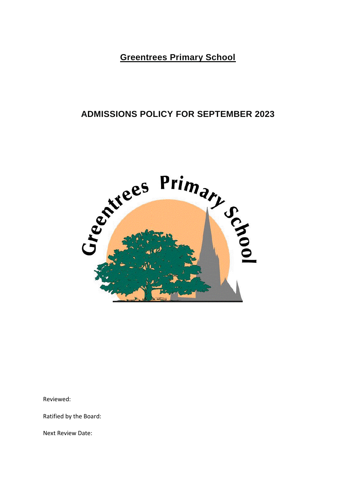**Greentrees Primary School**

## **ADMISSIONS POLICY FOR SEPTEMBER 2023**



Reviewed:

Ratified by the Board:

Next Review Date: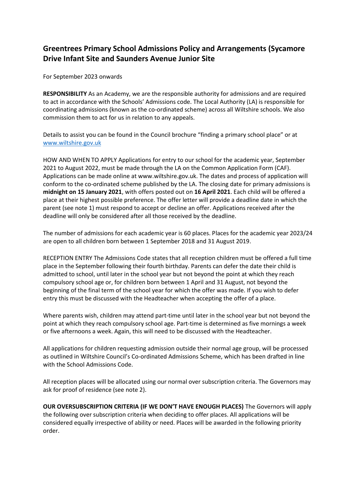## **Greentrees Primary School Admissions Policy and Arrangements (Sycamore Drive Infant Site and Saunders Avenue Junior Site**

For September 2023 onwards

**RESPONSIBILITY** As an Academy, we are the responsible authority for admissions and are required to act in accordance with the Schools' Admissions code. The Local Authority (LA) is responsible for coordinating admissions (known as the co-ordinated scheme) across all Wiltshire schools. We also commission them to act for us in relation to any appeals.

Details to assist you can be found in the Council brochure "finding a primary school place" or at [www.wiltshire.gov.uk](http://www.wiltshire.gov.uk/)

HOW AND WHEN TO APPLY Applications for entry to our school for the academic year, September 2021 to August 2022, must be made through the LA on the Common Application Form (CAF). Applications can be made online at www.wiltshire.gov.uk. The dates and process of application will conform to the co-ordinated scheme published by the LA. The closing date for primary admissions is **midnight on 15 January 2021**, with offers posted out on **16 April 2021**. Each child will be offered a place at their highest possible preference. The offer letter will provide a deadline date in which the parent (see note 1) must respond to accept or decline an offer. Applications received after the deadline will only be considered after all those received by the deadline.

The number of admissions for each academic year is 60 places. Places for the academic year 2023/24 are open to all children born between 1 September 2018 and 31 August 2019.

RECEPTION ENTRY The Admissions Code states that all reception children must be offered a full time place in the September following their fourth birthday. Parents can defer the date their child is admitted to school, until later in the school year but not beyond the point at which they reach compulsory school age or, for children born between 1 April and 31 August, not beyond the beginning of the final term of the school year for which the offer was made. If you wish to defer entry this must be discussed with the Headteacher when accepting the offer of a place.

Where parents wish, children may attend part-time until later in the school year but not beyond the point at which they reach compulsory school age. Part-time is determined as five mornings a week or five afternoons a week. Again, this will need to be discussed with the Headteacher.

All applications for children requesting admission outside their normal age group, will be processed as outlined in Wiltshire Council's Co-ordinated Admissions Scheme, which has been drafted in line with the School Admissions Code.

All reception places will be allocated using our normal over subscription criteria. The Governors may ask for proof of residence (see note 2).

**OUR OVERSUBSCRIPTION CRITERIA (IF WE DON'T HAVE ENOUGH PLACES)** The Governors will apply the following over subscription criteria when deciding to offer places. All applications will be considered equally irrespective of ability or need. Places will be awarded in the following priority order.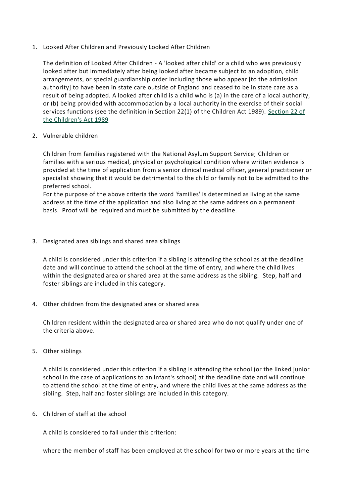1. Looked After Children and Previously Looked After Children

The definition of Looked After Children - A 'looked after child' or a child who was previously looked after but immediately after being looked after became subject to an adoption, child arrangements, or special guardianship order including those who appear [to the admission authority] to have been in state care outside of England and ceased to be in state care as a result of being adopted. A looked after child is a child who is (a) in the care of a local authority, or (b) being provided with accommodation by a local authority in the exercise of their social services functions (see the definition in Section 22(1) of the Children Act 1989). [Section](http://www.opsi.gov.uk/acts/acts1989/ukpga_19890041_en_4#pt3-pb3-l1g22) 22 of the [Children's](http://www.opsi.gov.uk/acts/acts1989/ukpga_19890041_en_4#pt3-pb3-l1g22) Act 1989

2. Vulnerable children

Children from families registered with the National Asylum Support Service; Children or families with a serious medical, physical or psychological condition where written evidence is provided at the time of application from a senior clinical medical officer, general practitioner or specialist showing that it would be detrimental to the child or family not to be admitted to the preferred school.

For the purpose of the above criteria the word 'families' is determined as living at the same address at the time of the application and also living at the same address on a permanent basis. Proof will be required and must be submitted by the deadline.

3. Designated area siblings and shared area siblings

A child is considered under this criterion if a sibling is attending the school as at the deadline date and will continue to attend the school at the time of entry, and where the child lives within the designated area or shared area at the same address as the sibling. Step, half and foster siblings are included in this category.

4. Other children from the designated area or shared area

Children resident within the designated area or shared area who do not qualify under one of the criteria above.

5. Other siblings

A child is considered under this criterion if a sibling is attending the school (or the linked junior school in the case of applications to an infant's school) at the deadline date and will continue to attend the school at the time of entry, and where the child lives at the same address as the sibling. Step, half and foster siblings are included in this category.

6. Children of staff at the school

A child is considered to fall under this criterion:

where the member of staff has been employed at the school for two or more years at the time